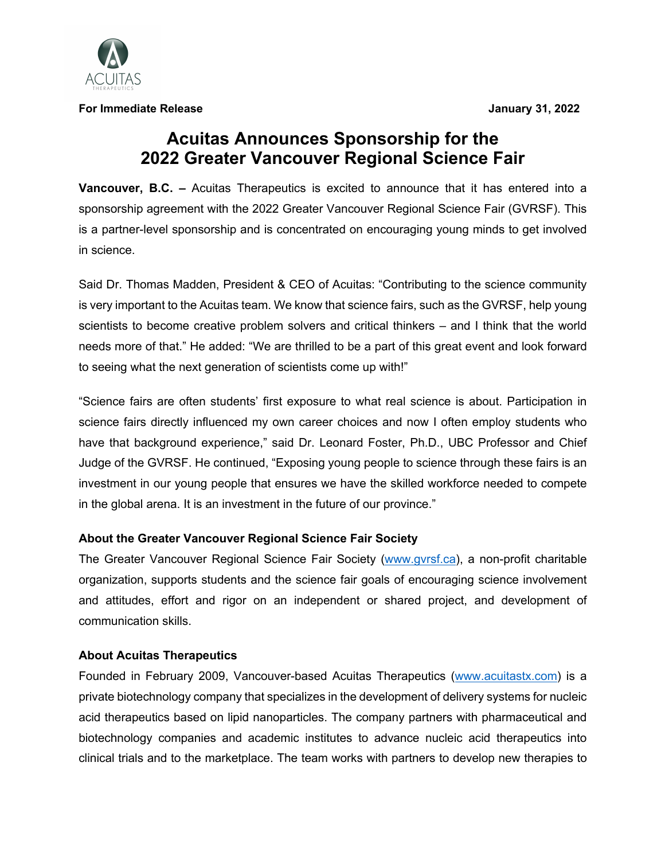

**For Immediate Release January 31, 2022**

## **Acuitas Announces Sponsorship for the 2022 Greater Vancouver Regional Science Fair**

**Vancouver, B.C. –** Acuitas Therapeutics is excited to announce that it has entered into a sponsorship agreement with the 2022 Greater Vancouver Regional Science Fair (GVRSF). This is a partner-level sponsorship and is concentrated on encouraging young minds to get involved in science.

Said Dr. Thomas Madden, President & CEO of Acuitas: "Contributing to the science community is very important to the Acuitas team. We know that science fairs, such as the GVRSF, help young scientists to become creative problem solvers and critical thinkers – and I think that the world needs more of that." He added: "We are thrilled to be a part of this great event and look forward to seeing what the next generation of scientists come up with!"

"Science fairs are often students' first exposure to what real science is about. Participation in science fairs directly influenced my own career choices and now I often employ students who have that background experience," said Dr. Leonard Foster, Ph.D., UBC Professor and Chief Judge of the GVRSF. He continued, "Exposing young people to science through these fairs is an investment in our young people that ensures we have the skilled workforce needed to compete in the global arena. It is an investment in the future of our province."

## **About the Greater Vancouver Regional Science Fair Society**

The Greater Vancouver Regional Science Fair Society (www.gvrsf.ca), a non-profit charitable organization, supports students and the science fair goals of encouraging science involvement and attitudes, effort and rigor on an independent or shared project, and development of communication skills.

## **About Acuitas Therapeutics**

Founded in February 2009, Vancouver-based Acuitas Therapeutics (www.acuitastx.com) is a private biotechnology company that specializes in the development of delivery systems for nucleic acid therapeutics based on lipid nanoparticles. The company partners with pharmaceutical and biotechnology companies and academic institutes to advance nucleic acid therapeutics into clinical trials and to the marketplace. The team works with partners to develop new therapies to